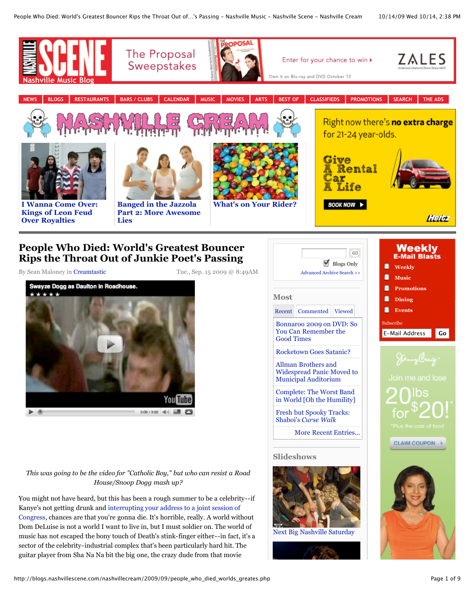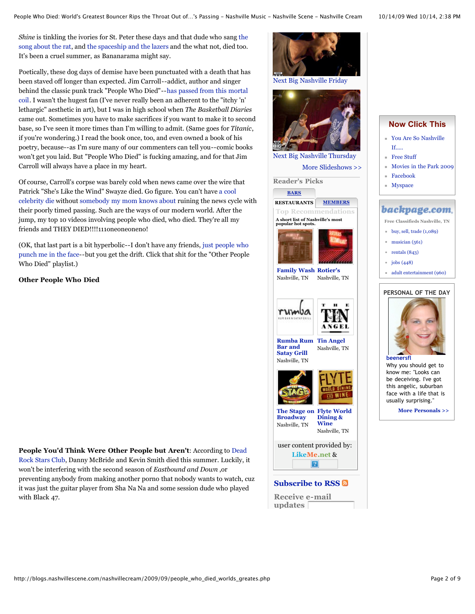*Shine* is tinkling the ivories for St. Peter these days and that dude who sang the [song about the rat, and the spaceship and the lazers and the what not, died too.](http://www.youtube.com/watch?v=U36DO_nrJeA) It's been a cruel summer, as Bananarama might say.

Poetically, these dog days of demise have been punctuated with a death that has been staved off longer than expected. Jim Carroll--addict, author and singer [behind the classic punk track "People Who Died"--has passed from this mortal](http://www.cbc.ca/arts/music/story/2009/09/14/jim-carroll-obit.html) coil. I wasn't the hugest fan (I've never really been an adherent to the "itchy 'n' lethargic" aesthetic in art), but I was in high school when *The Basketball Diaries* came out. Sometimes you have to make sacrifices if you want to make it to second base, so I've seen it more times than I'm willing to admit. (Same goes for *Titanic*, if you're wondering.) I read the book once, too, and even owned a book of his poetry, because--as I'm sure many of our commenters can tell you--comic books won't get you laid. But "People Who Died" is fucking amazing, and for that Jim Carroll will always have a place in my heart.

Of course, Carroll's corpse was barely cold when news came over the wire that Patrick "She's Like the Wind" Swayze died. Go figure. You can't have a cool [celebrity die without somebody my mom knows about ruining the news cyc](http://nymag.com/daily/intel/2009/07/walter_cronkite_has_died.html)le with their poorly timed passing. Such are the ways of our modern world. After the jump, my top 10 videos involving people who died, who died. They're all my friends and THEY DIED!!!!111oneoneoneno!

(OK, that last part is a bit hyperbolic--I don't have any friends, just people who [punch me in the face--but you get the drift. Click that shit for the "Other People](http://blogs.nashvillescene.com/nashvillecream/2009/09/golden_nugget_the_hobbit_8_off.php) Who Died" playlist.)

**Other People Who Died**

**People You'd Think Were Other People but Aren't**: According to Dead [Rock Stars Club, Danny McBride and Kevin Smith died this summer. Luckily, i](http://www.thedeadrockstarsclub.com/2009b.html)t won't be interfering with the second season of *Eastbound and Down* ,or preventing anybody from making another porno that nobody wants to watch, cuz it was just the guitar player from Sha Na Na and some session dude who played with Black 47.



- [You Are So Nashville](http://www.nashvillescene.com/2009-07-16/news/you-are-so-nashville-if)  $If.$
- [Free Stuff](http://www.nashvillescene.com/promotions/freestuff/)
- [Movies in the Park 2009](http://www.nashvillescene.com/events/promo/180906)
- [Facebook](http://www.facebook.com/home.php#/pages/Nashville-Scene/34536716194)
	- **[Myspace](http://blogs.nashvillescene.com/nashvillecream/2009/09/www.myspace.com/nashvillescene)**

## backpage.com.

- **Free Classifieds Nashville, TN**
- [buy, sell, trade \(1,089\)](http://nashvillescene.backpage.com/buyselltrade/classifieds/Results?section=4378)
- $maxician (561)$
- $r$  [rentals \(843\)](http://nashvillescene.backpage.com/rentals/classifieds/Results?section=4376)
- $\equiv$  [jobs \(448\)](http://nashvillescene.backpage.com/employment/classifieds/Results?section=4373)
- [adult entertainment \(960\)](http://nashvillescene.backpage.com/adult/classifieds/Disclaimer?section=186356)

## **[PERSONAL OF THE DAY](http://personals.nashvillescene.com/)**



Why you should get to know me: "Looks can be deceiving. I've got this angelic, suburban face with a life that is usually surprising."

**[More Personals >>](http://personals.nashvillescene.com/)**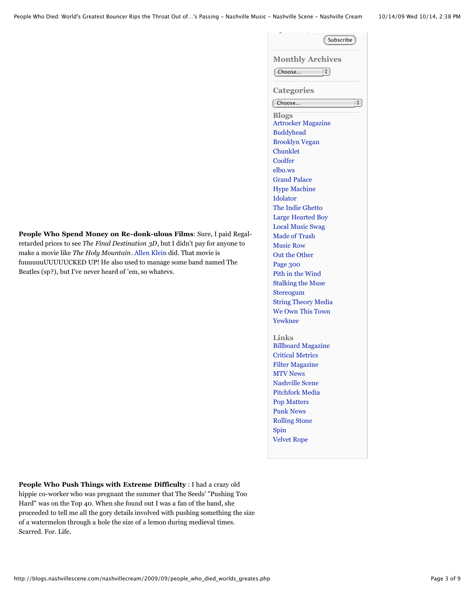| <b>Monthly Archives</b>    |  |
|----------------------------|--|
| Choose                     |  |
| <b>Categories</b>          |  |
| Choose                     |  |
| <b>Blogs</b>               |  |
| <b>Artrocker Magazine</b>  |  |
| <b>Buddyhead</b>           |  |
| <b>Brooklyn Vegan</b>      |  |
| Chunklet                   |  |
| Coolfer                    |  |
| elbo.ws                    |  |
| <b>Grand Palace</b>        |  |
| <b>Hype Machine</b>        |  |
| Idolator                   |  |
| The Indie Ghetto           |  |
| <b>Large Hearted Boy</b>   |  |
| <b>Local Music Swag</b>    |  |
| Made of Trash              |  |
| <b>Music Row</b>           |  |
| Out the Other              |  |
| Page 300                   |  |
| Pith in the Wind           |  |
| <b>Stalking the Muse</b>   |  |
| Stereogum                  |  |
| <b>String Theory Media</b> |  |
| We Own This Town           |  |
| Yewknee                    |  |
| <b>Links</b>               |  |
| <b>Billboard Magazine</b>  |  |
| <b>Critical Metrics</b>    |  |
| <b>Filter Magazine</b>     |  |
| <b>MTV News</b>            |  |
| <b>Nashville Scene</b>     |  |
| <b>Pitchfork Media</b>     |  |
| <b>Pop Matters</b>         |  |
| <b>Punk News</b>           |  |
| <b>Rolling Stone</b>       |  |
| Spin                       |  |

**updates** 

**People Who Spend Money on Re-donk-ulous Films**: Sure, I paid Regalretarded prices to see *The Final Destination 3D*, but I didn't pay for anyone to make a movie like *The Holy Mountain*. [Allen Klein](http://en.wikipedia.org/wiki/Allen_Klein) did. That movie is fuuuuuuUUUUUCKED UP! He also used to manage some band named The Beatles (sp?), but I've never heard of 'em, so whatevs.

**People Who Push Things with Extreme Difficulty** : I had a crazy old hippie co-worker who was pregnant the summer that The Seeds' "Pushing Too Hard" was on the Top 40. When she found out I was a fan of the band, she proceeded to tell me all the gory details involved with pushing something the size of a watermelon through a hole the size of a lemon during medieval times. Scarred. For. Life.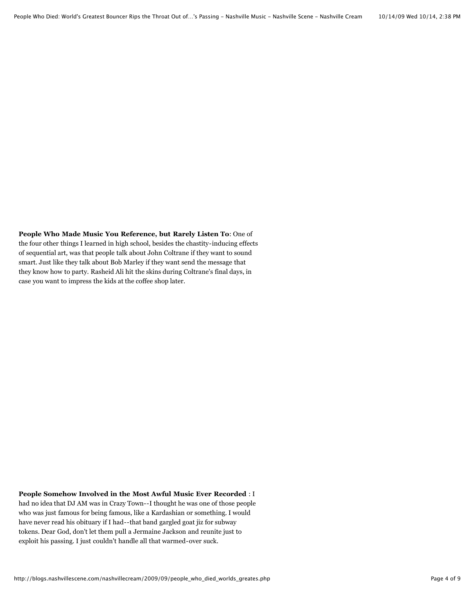**People Who Made Music You Reference, but Rarely Listen To**: One of the four other things I learned in high school, besides the chastity-inducing effects of sequential art, was that people talk about John Coltrane if they want to sound smart. Just like they talk about Bob Marley if they want send the message that they know how to party. Rasheid Ali hit the skins during Coltrane's final days, in case you want to impress the kids at the coffee shop later.

**People Somehow Involved in the Most Awful Music Ever Recorded** : I had no idea that DJ AM was in Crazy Town--I thought he was one of those people who was just famous for being famous, like a Kardashian or something. I would have never read his obituary if I had--that band gargled goat jiz for subway tokens. Dear God, don't let them pull a Jermaine Jackson and reunite just to exploit his passing. I just couldn't handle all that warmed-over suck.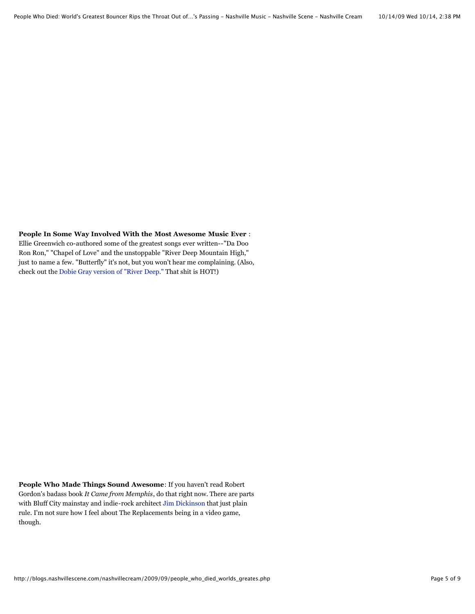**People In Some Way Involved With the Most Awesome Music Ever** : Ellie Greenwich co-authored some of the greatest songs ever written--"Da Doo Ron Ron," "Chapel of Love" and the unstoppable "River Deep Mountain High," just to name a few. "Butterfly" it's not, but you won't hear me complaining. (Also,

check out the [Dobie Gray version of "River Deep."](http://www.youtube.com/watch?v=R0srn3X02-A) That shit is HOT!)

**People Who Made Things Sound Awesome**: If you haven't read Robert Gordon's badass book *It Came from Memphis*, do that right now. There are parts with Bluff City mainstay and indie-rock architect [Jim Dickinson](http://allmusic.com/cg/amg.dll?p=amg&sql=11:fbfwxq95ldte~T4) that just plain rule. I'm not sure how I feel about The Replacements being in a video game, though.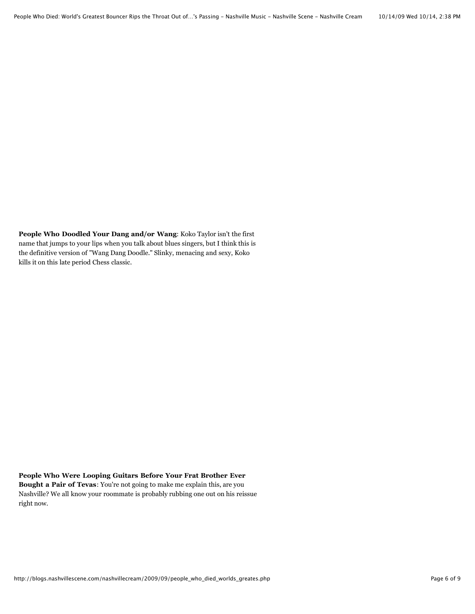**People Who Doodled Your Dang and/or Wang**: Koko Taylor isn't the first name that jumps to your lips when you talk about blues singers, but I think this is the definitive version of "Wang Dang Doodle." Slinky, menacing and sexy, Koko kills it on this late period Chess classic.

## **People Who Were Looping Guitars Before Your Frat Brother Ever**

**Bought a Pair of Tevas**: You're not going to make me explain this, are you Nashville? We all know your roommate is probably rubbing one out on his reissue right now.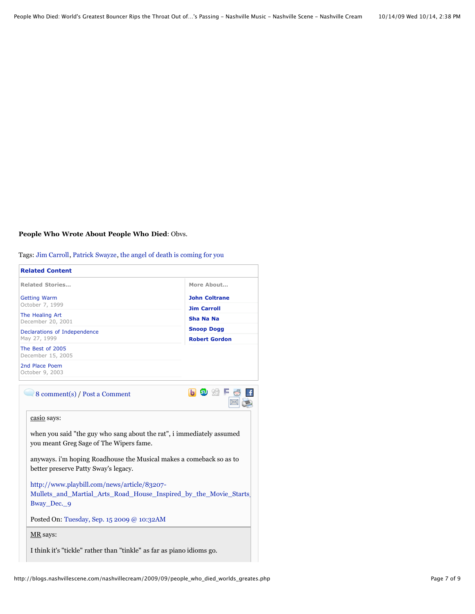## **People Who Wrote About People Who Died**: Obvs.

Tags: [Jim Carroll,](http://www.nashvillescene.com/search/index?collection=blogs&keywords=Jim%20Carroll&ss=http://blogs.nashvillescene.com/nashvillecream) [Patrick Swayze,](http://www.nashvillescene.com/search/index?collection=blogs&keywords=Patrick%20Swayze&ss=http://blogs.nashvillescene.com/nashvillecream) [the angel of death is coming for you](http://www.nashvillescene.com/search/index?collection=blogs&keywords=the%20angel%20of%20death%20is%20coming%20for%20you&ss=http://blogs.nashvillescene.com/nashvillecream)

| <b>Related Content</b>                                                                                                         |                      |
|--------------------------------------------------------------------------------------------------------------------------------|----------------------|
| <b>Related Stories</b>                                                                                                         | More About           |
| <b>Getting Warm</b>                                                                                                            | <b>John Coltrane</b> |
| October 7, 1999                                                                                                                | <b>Jim Carroll</b>   |
| The Healing Art<br>December 20, 2001                                                                                           | Sha Na Na            |
| Declarations of Independence                                                                                                   | <b>Snoop Dogg</b>    |
| May 27, 1999                                                                                                                   | <b>Robert Gordon</b> |
| The Best of 2005<br>December 15, 2005                                                                                          |                      |
| 2nd Place Poem<br>October 9, 2003                                                                                              |                      |
| 8 comment(s) / Post a Comment                                                                                                  | G SD SSIF            |
| casio says:                                                                                                                    |                      |
| when you said "the guy who sang about the rat", i immediately assumed<br>you meant Greg Sage of The Wipers fame.               |                      |
| anyways, i'm hoping Roadhouse the Musical makes a comeback so as to<br>better preserve Patty Sway's legacy.                    |                      |
| http://www.playbill.com/news/article/83207-<br>Mullets and Martial Arts Road House Inspired by the Movie Starts<br>Bway Dec. 9 |                      |
| Posted On: Tuesday, Sep. 15 2009 @ 10:32AM                                                                                     |                      |
| $MR$ says:                                                                                                                     |                      |
| I think it's "tickle" rather than "tinkle" as far as piano idioms go.                                                          |                      |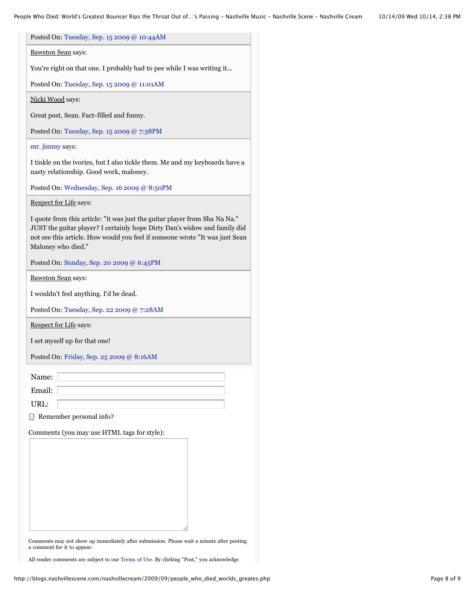| Posted On: Tuesday, Sep. 15 2009 @ 10:44AM                                                                                                                                                                                                                   |
|--------------------------------------------------------------------------------------------------------------------------------------------------------------------------------------------------------------------------------------------------------------|
| <b>Bawston Sean says:</b>                                                                                                                                                                                                                                    |
| You're right on that one. I probably had to pee while I was writing it                                                                                                                                                                                       |
| Posted On: Tuesday, Sep. 15 2009 @ 11:01AM                                                                                                                                                                                                                   |
| Nicki Wood says:                                                                                                                                                                                                                                             |
| Great post, Sean. Fact-filled and funny.                                                                                                                                                                                                                     |
| Posted On: Tuesday, Sep. 15 2009 @ 7:38PM                                                                                                                                                                                                                    |
| mr. jimmy says:                                                                                                                                                                                                                                              |
| I tinkle on the ivories, but I also tickle them. Me and my keyboards have a<br>nasty relationship. Good work, maloney.                                                                                                                                       |
| Posted On: Wednesday, Sep. 16 2009 @ 8:50PM                                                                                                                                                                                                                  |
| <b>Respect for Life says:</b>                                                                                                                                                                                                                                |
| I quote from this article: "it was just the guitar player from Sha Na Na."<br>JUST the guitar player? I certainly hope Dirty Dan's widow and family did<br>not see this article. How would you feel if someone wrote "It was just Sean<br>Maloney who died." |
| Posted On: Sunday, Sep. 20 2009 @ 6:45PM                                                                                                                                                                                                                     |
| <b>Bawston Sean says:</b>                                                                                                                                                                                                                                    |
| I wouldn't feel anything. I'd be dead.                                                                                                                                                                                                                       |
| Posted On: Tuesday, Sep. 22 2009 @ 7:28AM                                                                                                                                                                                                                    |
| <b>Respect for Life says:</b>                                                                                                                                                                                                                                |
| I set myself up for that one!                                                                                                                                                                                                                                |
| Posted On: Friday, Sep. 25 2009 @ 8:16AM                                                                                                                                                                                                                     |
| Name:                                                                                                                                                                                                                                                        |
| Email:                                                                                                                                                                                                                                                       |
| URL:                                                                                                                                                                                                                                                         |
| Remember personal info?                                                                                                                                                                                                                                      |
| Comments (you may use HTML tags for style):                                                                                                                                                                                                                  |
|                                                                                                                                                                                                                                                              |
|                                                                                                                                                                                                                                                              |

Comments may not show up immediately after submission. Please wait a minute after posting a comment for it to appear.

All reader comments are subject to our [Terms of Use](http://www.nashvillescene.com/about/terms). By clicking "Post," you acknowledge